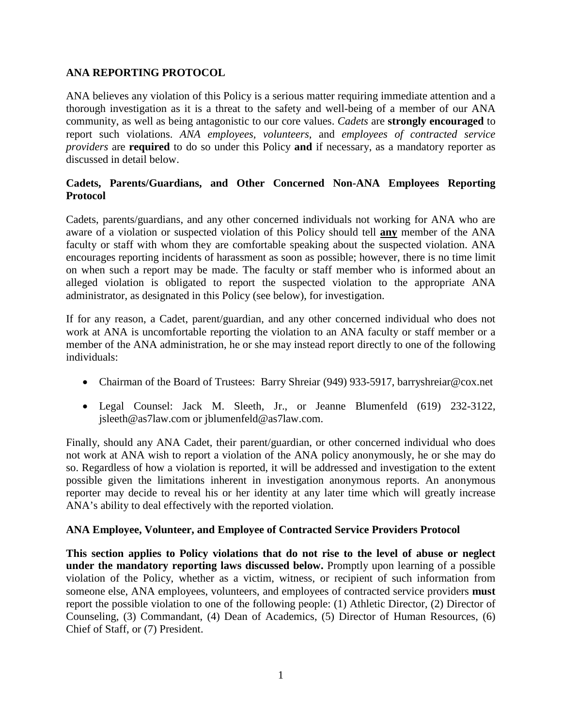## **ANA REPORTING PROTOCOL**

ANA believes any violation of this Policy is a serious matter requiring immediate attention and a thorough investigation as it is a threat to the safety and well-being of a member of our ANA community, as well as being antagonistic to our core values. *Cadets* are **strongly encouraged** to report such violations. *ANA employees, volunteers,* and *employees of contracted service providers* are **required** to do so under this Policy **and** if necessary, as a mandatory reporter as discussed in detail below.

### **Cadets, Parents/Guardians, and Other Concerned Non-ANA Employees Reporting Protocol**

Cadets, parents/guardians, and any other concerned individuals not working for ANA who are aware of a violation or suspected violation of this Policy should tell **any** member of the ANA faculty or staff with whom they are comfortable speaking about the suspected violation. ANA encourages reporting incidents of harassment as soon as possible; however, there is no time limit on when such a report may be made. The faculty or staff member who is informed about an alleged violation is obligated to report the suspected violation to the appropriate ANA administrator, as designated in this Policy (see below), for investigation.

If for any reason, a Cadet, parent/guardian, and any other concerned individual who does not work at ANA is uncomfortable reporting the violation to an ANA faculty or staff member or a member of the ANA administration, he or she may instead report directly to one of the following individuals:

- Chairman of the Board of Trustees: Barry Shreiar (949) 933-5917, [barryshreiar@cox.net](mailto:barryshreiar@cox.net)
- Legal Counsel: Jack M. Sleeth, Jr., or Jeanne Blumenfeld (619) 232-3122, [jsleeth@as7law.com](mailto:jsleeth@as7law.com) or [jblumenfeld@as7law.com.](mailto:jblumenfeld@as7law.com)

Finally, should any ANA Cadet, their parent/guardian, or other concerned individual who does not work at ANA wish to report a violation of the ANA policy anonymously, he or she may do so. Regardless of how a violation is reported, it will be addressed and investigation to the extent possible given the limitations inherent in investigation anonymous reports. An anonymous reporter may decide to reveal his or her identity at any later time which will greatly increase ANA's ability to deal effectively with the reported violation.

#### **ANA Employee, Volunteer, and Employee of Contracted Service Providers Protocol**

**This section applies to Policy violations that do not rise to the level of abuse or neglect under the mandatory reporting laws discussed below.** Promptly upon learning of a possible violation of the Policy, whether as a victim, witness, or recipient of such information from someone else, ANA employees, volunteers, and employees of contracted service providers **must** report the possible violation to one of the following people: (1) Athletic Director, (2) Director of Counseling, (3) Commandant, (4) Dean of Academics, (5) Director of Human Resources, (6) Chief of Staff, or (7) President.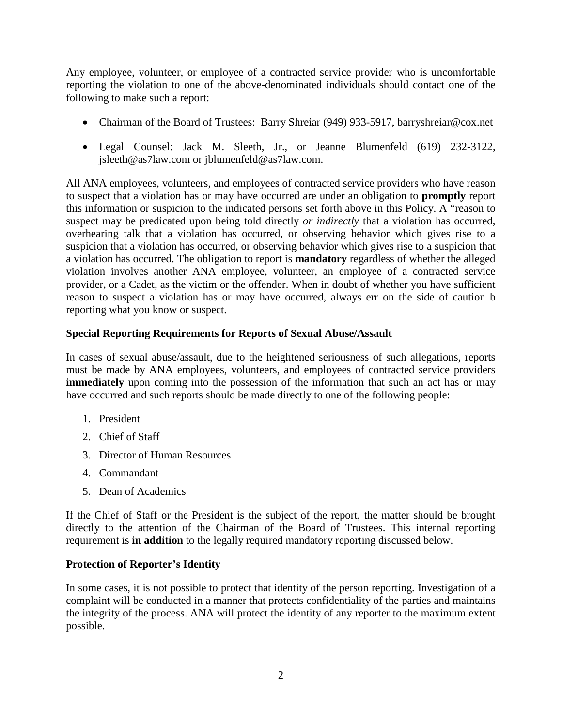Any employee, volunteer, or employee of a contracted service provider who is uncomfortable reporting the violation to one of the above-denominated individuals should contact one of the following to make such a report:

- Chairman of the Board of Trustees: Barry Shreiar (949) 933-5917, [barryshreiar@cox.net](mailto:barryshreiar@cox.net)
- Legal Counsel: Jack M. Sleeth, Jr., or Jeanne Blumenfeld (619) 232-3122, [jsleeth@as7law.com](mailto:jsleeth@as7law.com) or [jblumenfeld@as7law.com.](mailto:jblumenfeld@as7law.com)

All ANA employees, volunteers, and employees of contracted service providers who have reason to suspect that a violation has or may have occurred are under an obligation to **promptly** report this information or suspicion to the indicated persons set forth above in this Policy. A "reason to suspect may be predicated upon being told directly *or indirectly* that a violation has occurred, overhearing talk that a violation has occurred, or observing behavior which gives rise to a suspicion that a violation has occurred, or observing behavior which gives rise to a suspicion that a violation has occurred. The obligation to report is **mandatory** regardless of whether the alleged violation involves another ANA employee, volunteer, an employee of a contracted service provider, or a Cadet, as the victim or the offender. When in doubt of whether you have sufficient reason to suspect a violation has or may have occurred, always err on the side of caution b reporting what you know or suspect.

#### **Special Reporting Requirements for Reports of Sexual Abuse/Assault**

In cases of sexual abuse/assault, due to the heightened seriousness of such allegations, reports must be made by ANA employees, volunteers, and employees of contracted service providers **immediately** upon coming into the possession of the information that such an act has or may have occurred and such reports should be made directly to one of the following people:

- 1. President
- 2. Chief of Staff
- 3. Director of Human Resources
- 4. Commandant
- 5. Dean of Academics

If the Chief of Staff or the President is the subject of the report, the matter should be brought directly to the attention of the Chairman of the Board of Trustees. This internal reporting requirement is **in addition** to the legally required mandatory reporting discussed below.

#### **Protection of Reporter's Identity**

In some cases, it is not possible to protect that identity of the person reporting. Investigation of a complaint will be conducted in a manner that protects confidentiality of the parties and maintains the integrity of the process. ANA will protect the identity of any reporter to the maximum extent possible.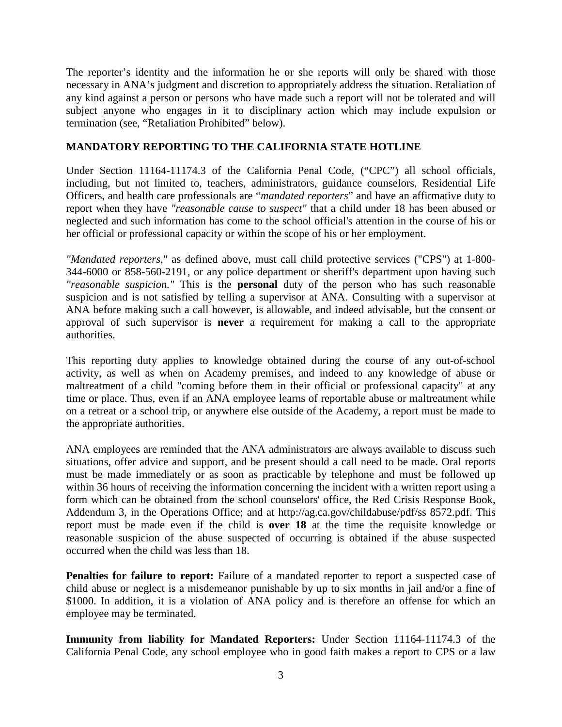The reporter's identity and the information he or she reports will only be shared with those necessary in ANA's judgment and discretion to appropriately address the situation. Retaliation of any kind against a person or persons who have made such a report will not be tolerated and will subject anyone who engages in it to disciplinary action which may include expulsion or termination (see, "Retaliation Prohibited" below).

## **MANDATORY REPORTING TO THE CALIFORNIA STATE HOTLINE**

Under Section 11164-11174.3 of the California Penal Code, ("CPC") all school officials, including, but not limited to, teachers, administrators, guidance counselors, Residential Life Officers, and health care professionals are "*mandated reporters*" and have an affirmative duty to report when they have *"reasonable cause to suspect"* that a child under 18 has been abused or neglected and such information has come to the school official's attention in the course of his or her official or professional capacity or within the scope of his or her employment.

*"Mandated reporters,*" as defined above, must call child protective services ("CPS") at 1-800- 344-6000 or 858-560-2191, or any police department or sheriff's department upon having such *"reasonable suspicion."* This is the **personal** duty of the person who has such reasonable suspicion and is not satisfied by telling a supervisor at ANA. Consulting with a supervisor at ANA before making such a call however, is allowable, and indeed advisable, but the consent or approval of such supervisor is **never** a requirement for making a call to the appropriate authorities.

This reporting duty applies to knowledge obtained during the course of any out-of-school activity, as well as when on Academy premises, and indeed to any knowledge of abuse or maltreatment of a child "coming before them in their official or professional capacity" at any time or place. Thus, even if an ANA employee learns of reportable abuse or maltreatment while on a retreat or a school trip, or anywhere else outside of the Academy, a report must be made to the appropriate authorities.

ANA employees are reminded that the ANA administrators are always available to discuss such situations, offer advice and support, and be present should a call need to be made. Oral reports must be made immediately or as soon as practicable by telephone and must be followed up within 36 hours of receiving the information concerning the incident with a written report using a form which can be obtained from the school counselors' office, the Red Crisis Response Book, Addendum 3, in the Operations Office; and at http://ag.ca.gov/childabuse/pdf/ss 8572.pdf. This report must be made even if the child is **over 18** at the time the requisite knowledge or reasonable suspicion of the abuse suspected of occurring is obtained if the abuse suspected occurred when the child was less than 18.

**Penalties for failure to report:** Failure of a mandated reporter to report a suspected case of child abuse or neglect is a misdemeanor punishable by up to six months in jail and/or a fine of \$1000. In addition, it is a violation of ANA policy and is therefore an offense for which an employee may be terminated.

**Immunity from liability for Mandated Reporters:** Under Section 11164-11174.3 of the California Penal Code, any school employee who in good faith makes a report to CPS or a law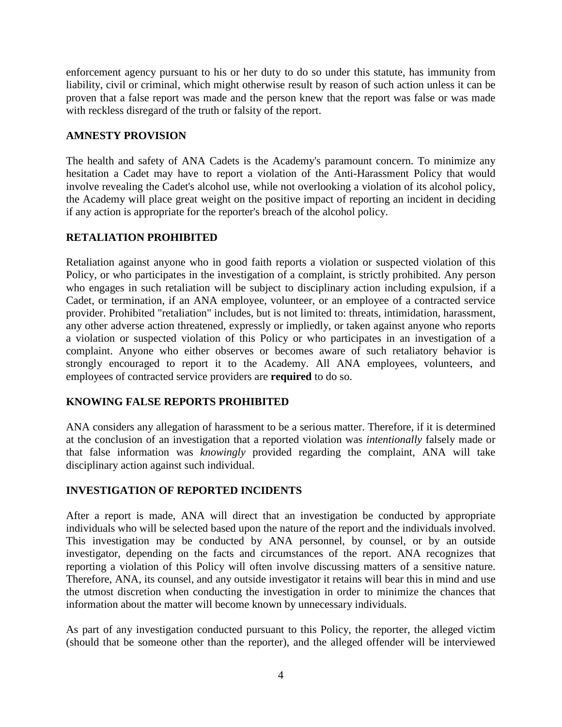enforcement agency pursuant to his or her duty to do so under this statute, has immunity from liability, civil or criminal, which might otherwise result by reason of such action unless it can be proven that a false report was made and the person knew that the report was false or was made with reckless disregard of the truth or falsity of the report.

#### **AMNESTY PROVISION**

The health and safety of ANA Cadets is the Academy's paramount concern. To minimize any hesitation a Cadet may have to report a violation of the Anti-Harassment Policy that would involve revealing the Cadet's alcohol use, while not overlooking a violation of its alcohol policy, the Academy will place great weight on the positive impact of reporting an incident in deciding if any action is appropriate for the reporter's breach of the alcohol policy.

# **RETALIATION PROHIBITED**

Retaliation against anyone who in good faith reports a violation or suspected violation of this Policy, or who participates in the investigation of a complaint, is strictly prohibited. Any person who engages in such retaliation will be subject to disciplinary action including expulsion, if a Cadet, or termination, if an ANA employee, volunteer, or an employee of a contracted service provider. Prohibited "retaliation" includes, but is not limited to: threats, intimidation, harassment, any other adverse action threatened, expressly or impliedly, or taken against anyone who reports a violation or suspected violation of this Policy or who participates in an investigation of a complaint. Anyone who either observes or becomes aware of such retaliatory behavior is strongly encouraged to report it to the Academy. All ANA employees, volunteers, and employees of contracted service providers are **required** to do so.

## **KNOWING FALSE REPORTS PROHIBITED**

ANA considers any allegation of harassment to be a serious matter. Therefore, if it is determined at the conclusion of an investigation that a reported violation was *intentionally* falsely made or that false information was *knowingly* provided regarding the complaint, ANA will take disciplinary action against such individual.

## **INVESTIGATION OF REPORTED INCIDENTS**

After a report is made, ANA will direct that an investigation be conducted by appropriate individuals who will be selected based upon the nature of the report and the individuals involved. This investigation may be conducted by ANA personnel, by counsel, or by an outside investigator, depending on the facts and circumstances of the report. ANA recognizes that reporting a violation of this Policy will often involve discussing matters of a sensitive nature. Therefore, ANA, its counsel, and any outside investigator it retains will bear this in mind and use the utmost discretion when conducting the investigation in order to minimize the chances that information about the matter will become known by unnecessary individuals.

As part of any investigation conducted pursuant to this Policy, the reporter, the alleged victim (should that be someone other than the reporter), and the alleged offender will be interviewed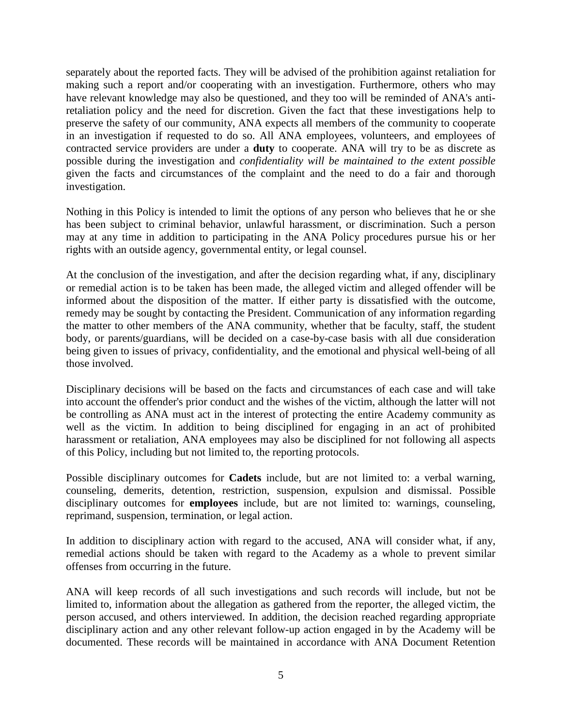separately about the reported facts. They will be advised of the prohibition against retaliation for making such a report and/or cooperating with an investigation. Furthermore, others who may have relevant knowledge may also be questioned, and they too will be reminded of ANA's antiretaliation policy and the need for discretion. Given the fact that these investigations help to preserve the safety of our community, ANA expects all members of the community to cooperate in an investigation if requested to do so. All ANA employees, volunteers, and employees of contracted service providers are under a **duty** to cooperate. ANA will try to be as discrete as possible during the investigation and *confidentiality will be maintained to the extent possible*  given the facts and circumstances of the complaint and the need to do a fair and thorough investigation.

Nothing in this Policy is intended to limit the options of any person who believes that he or she has been subject to criminal behavior, unlawful harassment, or discrimination. Such a person may at any time in addition to participating in the ANA Policy procedures pursue his or her rights with an outside agency, governmental entity, or legal counsel.

At the conclusion of the investigation, and after the decision regarding what, if any, disciplinary or remedial action is to be taken has been made, the alleged victim and alleged offender will be informed about the disposition of the matter. If either party is dissatisfied with the outcome, remedy may be sought by contacting the President. Communication of any information regarding the matter to other members of the ANA community, whether that be faculty, staff, the student body, or parents/guardians, will be decided on a case-by-case basis with all due consideration being given to issues of privacy, confidentiality, and the emotional and physical well-being of all those involved.

Disciplinary decisions will be based on the facts and circumstances of each case and will take into account the offender's prior conduct and the wishes of the victim, although the latter will not be controlling as ANA must act in the interest of protecting the entire Academy community as well as the victim. In addition to being disciplined for engaging in an act of prohibited harassment or retaliation, ANA employees may also be disciplined for not following all aspects of this Policy, including but not limited to, the reporting protocols.

Possible disciplinary outcomes for **Cadets** include, but are not limited to: a verbal warning, counseling, demerits, detention, restriction, suspension, expulsion and dismissal. Possible disciplinary outcomes for **employees** include, but are not limited to: warnings, counseling, reprimand, suspension, termination, or legal action.

In addition to disciplinary action with regard to the accused, ANA will consider what, if any, remedial actions should be taken with regard to the Academy as a whole to prevent similar offenses from occurring in the future.

ANA will keep records of all such investigations and such records will include, but not be limited to, information about the allegation as gathered from the reporter, the alleged victim, the person accused, and others interviewed. In addition, the decision reached regarding appropriate disciplinary action and any other relevant follow-up action engaged in by the Academy will be documented. These records will be maintained in accordance with ANA Document Retention